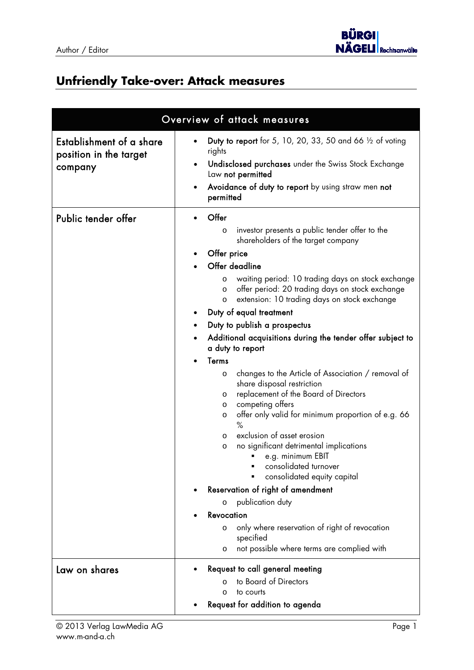

## **Unfriendly Take-over: Attack measures**

| Overview of attack measures                                   |                                                                                                                                                                                                                                                                                                                                                                                                                                                                                                                                                                                                                                                                                                                                                                                                                                                                                                                                                                                                                                                                |
|---------------------------------------------------------------|----------------------------------------------------------------------------------------------------------------------------------------------------------------------------------------------------------------------------------------------------------------------------------------------------------------------------------------------------------------------------------------------------------------------------------------------------------------------------------------------------------------------------------------------------------------------------------------------------------------------------------------------------------------------------------------------------------------------------------------------------------------------------------------------------------------------------------------------------------------------------------------------------------------------------------------------------------------------------------------------------------------------------------------------------------------|
| Establishment of a share<br>position in the target<br>company | Duty to report for 5, 10, 20, 33, 50 and 66 $\frac{1}{2}$ of voting<br>rights<br>Undisclosed purchases under the Swiss Stock Exchange<br>Law not permitted<br>Avoidance of duty to report by using straw men not<br>$\bullet$<br>permitted                                                                                                                                                                                                                                                                                                                                                                                                                                                                                                                                                                                                                                                                                                                                                                                                                     |
| Public tender offer                                           | Offer<br>investor presents a public tender offer to the<br>$\circ$<br>shareholders of the target company<br>Offer price<br>Offer deadline<br>waiting period: 10 trading days on stock exchange<br>O<br>offer period: 20 trading days on stock exchange<br>$\circ$<br>extension: 10 trading days on stock exchange<br>O<br>Duty of equal treatment<br>Duty to publish a prospectus<br>$\bullet$<br>Additional acquisitions during the tender offer subject to<br>a duty to report<br>Terms<br>changes to the Article of Association / removal of<br>O<br>share disposal restriction<br>replacement of the Board of Directors<br>O<br>competing offers<br>$\circ$<br>offer only valid for minimum proportion of e.g. 66<br>O<br>$\%$<br>exclusion of asset erosion<br>O<br>no significant detrimental implications<br>O<br>e.g. minimum EBIT<br>consolidated turnover<br>consolidated equity capital<br>Reservation of right of amendment<br>publication duty<br>$\circ$<br>Revocation<br>only where reservation of right of revocation<br>$\Omega$<br>specified |
|                                                               | not possible where terms are complied with<br>O                                                                                                                                                                                                                                                                                                                                                                                                                                                                                                                                                                                                                                                                                                                                                                                                                                                                                                                                                                                                                |
| Law on shares                                                 | Request to call general meeting<br>to Board of Directors<br>$\Omega$<br>to courts<br>$\Omega$<br>Request for addition to agenda                                                                                                                                                                                                                                                                                                                                                                                                                                                                                                                                                                                                                                                                                                                                                                                                                                                                                                                                |